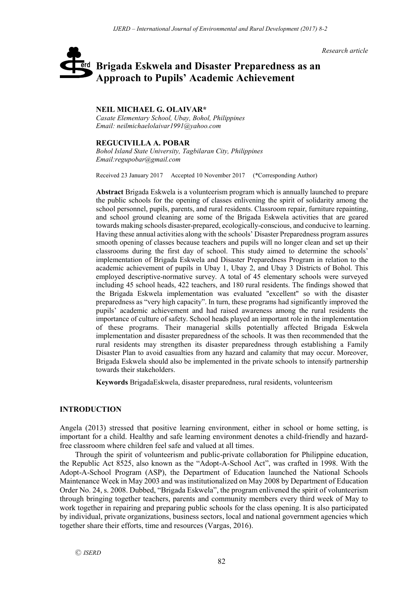*Research article*

# **Brigada Eskwela and Disaster Preparedness as an** erd **Approach to Pupils' Academic Achievement**

# **NEIL MICHAEL G. OLAIVAR\***

*Casate Elementary School, Ubay, Bohol, Philippines Email: neilmichaelolaivar1991@yahoo.com*

## **REGUCIVILLA A. POBAR**

*Bohol Island State University, Tagbilaran City, Philippines Email:regupobar@gmail.com*

Received 23 January 2017 Accepted 10 November 2017 (\*Corresponding Author)

**Abstract** Brigada Eskwela is a volunteerism program which is annually launched to prepare the public schools for the opening of classes enlivening the spirit of solidarity among the school personnel, pupils, parents, and rural residents. Classroom repair, furniture repainting, and school ground cleaning are some of the Brigada Eskwela activities that are geared towards making schools disaster-prepared, ecologically-conscious, and conducive to learning. Having these annual activities along with the schools' Disaster Preparedness program assures smooth opening of classes because teachers and pupils will no longer clean and set up their classrooms during the first day of school. This study aimed to determine the schools' implementation of Brigada Eskwela and Disaster Preparedness Program in relation to the academic achievement of pupils in Ubay 1, Ubay 2, and Ubay 3 Districts of Bohol. This employed descriptive-normative survey. A total of 45 elementary schools were surveyed including 45 school heads, 422 teachers, and 180 rural residents. The findings showed that the Brigada Eskwela implementation was evaluated "excellent" so with the disaster preparedness as "very high capacity". In turn, these programs had significantly improved the pupils' academic achievement and had raised awareness among the rural residents the importance of culture of safety. School heads played an important role in the implementation of these programs. Their managerial skills potentially affected Brigada Eskwela implementation and disaster preparedness of the schools. It was then recommended that the rural residents may strengthen its disaster preparedness through establishing a Family Disaster Plan to avoid casualties from any hazard and calamity that may occur. Moreover, Brigada Eskwela should also be implemented in the private schools to intensify partnership towards their stakeholders.

**Keywords** BrigadaEskwela, disaster preparedness, rural residents, volunteerism

## **INTRODUCTION**

Angela (2013) stressed that positive learning environment, either in school or home setting, is important for a child. Healthy and safe learning environment denotes a child-friendly and hazardfree classroom where children feel safe and valued at all times.

Through the spirit of volunteerism and public-private collaboration for Philippine education, the Republic Act 8525, also known as the "Adopt-A-School Act", was crafted in 1998. With the Adopt-A-School Program (ASP), the Department of Education launched the National Schools Maintenance Week in May 2003 and was institutionalized on May 2008 by Department of Education Order No. 24, s. 2008. Dubbed, "Brigada Eskwela", the program enlivened the spirit of volunteerism through bringing together teachers, parents and community members every third week of May to work together in repairing and preparing public schools for the class opening. It is also participated by individual, private organizations, business sectors, local and national government agencies which together share their efforts, time and resources (Vargas, 2016).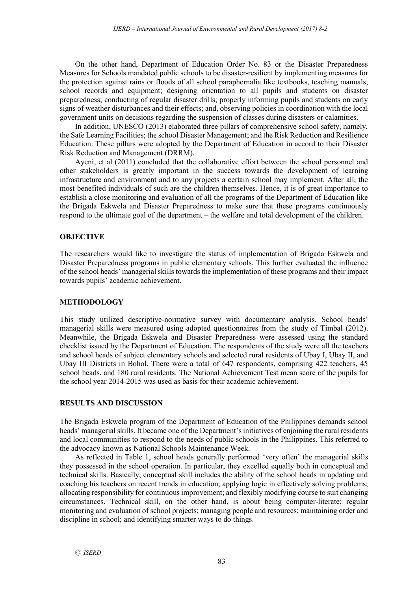On the other hand, Department of Education Order No. 83 or the Disaster Preparedness Measures for Schools mandated public schools to be disaster-resilient by implementing measures for the protection against rains or floods of all school paraphernalia like textbooks, teaching manuals, school records and equipment; designing orientation to all pupils and students on disaster preparedness; conducting of regular disaster drills; properly informing pupils and students on early signs of weather disturbances and their effects; and, observing policies in coordination with the local government units on decisions regarding the suspension of classes during disasters or calamities.

In addition, UNESCO (2013) elaborated three pillars of comprehensive school safety, namely, the Safe Learning Facilities; the school Disaster Management; and the Risk Reduction and Resilience Education. These pillars were adopted by the Department of Education in accord to their Disaster Risk Reduction and Management (DRRM).

Ayeni, et al (2011) concluded that the collaborative effort between the school personnel and other stakeholders is greatly important in the success towards the development of learning infrastructure and environment and to any projects a certain school may implement. After all, the most benefited individuals of such are the children themselves. Hence, it is of great importance to establish a close monitoring and evaluation of all the programs of the Department of Education like the Brigada Eskwela and Disaster Preparedness to make sure that these programs continuously respond to the ultimate goal of the department – the welfare and total development of the children.

## **OBJECTIVE**

The researchers would like to investigate the status of implementation of Brigada Eskwela and Disaster Preparedness programs in public elementary schools. This further evaluated the influence of the school heads' managerial skills towards the implementation of these programs and their impact towards pupils' academic achievement.

## **METHODOLOGY**

This study utilized descriptive-normative survey with documentary analysis. School heads' managerial skills were measured using adopted questionnaires from the study of Timbal (2012). Meanwhile, the Brigada Eskwela and Disaster Preparedness were assessed using the standard checklist issued by the Department of Education. The respondents of the study were all the teachers and school heads of subject elementary schools and selected rural residents of Ubay I, Ubay II, and Ubay III Districts in Bohol. There were a total of 647 respondents, comprising 422 teachers, 45 school heads, and 180 rural residents. The National Achievement Test mean score of the pupils for the school year 2014-2015 was used as basis for their academic achievement.

# **RESULTS AND DISCUSSION**

The Brigada Eskwela program of the Department of Education of the Philippines demands school heads' managerial skills. It became one of the Department's initiatives of enjoining the rural residents and local communities to respond to the needs of public schools in the Philippines. This referred to the advocacy known as National Schools Maintenance Week.

As reflected in Table 1, school heads generally performed 'very often' the managerial skills they possessed in the school operation. In particular, they excelled equally both in conceptual and technical skills. Basically, conceptual skill includes the ability of the school heads in updating and coaching his teachers on recent trends in education; applying logic in effectively solving problems; allocating responsibility for continuous improvement; and flexibly modifying course to suit changing circumstances. Technical skill, on the other hand, is about being computer-literate; regular monitoring and evaluation of school projects; managing people and resources; maintaining order and discipline in school; and identifying smarter ways to do things.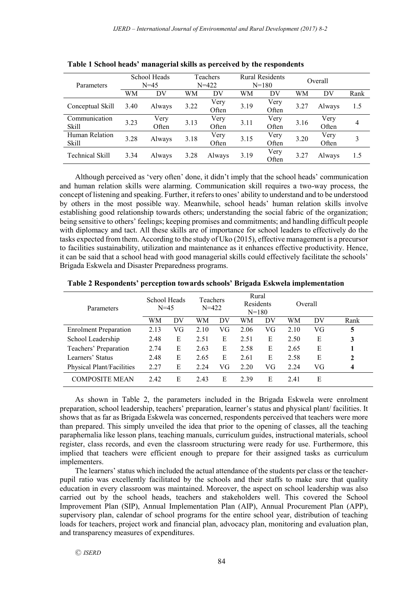| Parameters              | School Heads<br>$N = 45$ |               | Teachers<br>$N = 422$ |               | <b>Rural Residents</b><br>$N = 180$ |               | Overall |               |                |
|-------------------------|--------------------------|---------------|-----------------------|---------------|-------------------------------------|---------------|---------|---------------|----------------|
|                         | WМ                       | DV            | WМ                    | DV            | WМ                                  | DV            | WM      | DV            | Rank           |
| Conceptual Skill        | 3.40                     | Always        | 3.22                  | Very<br>Often | 3.19                                | Very<br>Often | 3.27    | Always        | 1.5            |
| Communication<br>Skill  | 3.23                     | Very<br>Often | 3.13                  | Very<br>Often | 3.11                                | Very<br>Often | 3.16    | Very<br>Often | $\overline{4}$ |
| Human Relation<br>Skill | 3.28                     | Always        | 3.18                  | Very<br>Often | 3.15                                | Very<br>Often | 3.20    | Very<br>Often | 3              |
| <b>Technical Skill</b>  | 3.34                     | Always        | 3.28                  | Always        | 3.19                                | Very<br>Often | 3.27    | Always        | 1.5            |

**Table 1 School heads' managerial skills as perceived by the respondents**

Although perceived as 'very often' done, it didn't imply that the school heads' communication and human relation skills were alarming. Communication skill requires a two-way process, the concept of listening and speaking. Further, it refers to ones' ability to understand and to be understood by others in the most possible way. Meanwhile, school heads' human relation skills involve establishing good relationship towards others; understanding the social fabric of the organization; being sensitive to others' feelings; keeping promises and commitments; and handling difficult people with diplomacy and tact. All these skills are of importance for school leaders to effectively do the tasks expected from them. According to the study of Uko (2015), effective management is a precursor to facilities sustainability, utilization and maintenance as it enhances effective productivity. Hence, it can be said that a school head with good managerial skills could effectively facilitate the schools' Brigada Eskwela and Disaster Preparedness programs.

| Parameters                   | School Heads<br>$N = 45$ |    | <b>Teachers</b><br>$N = 422$ |    | Rural<br>Residents<br>$N = 180$ |    | Overall |    |      |
|------------------------------|--------------------------|----|------------------------------|----|---------------------------------|----|---------|----|------|
|                              | WМ                       | DV | WМ                           | DV | WM                              | DV | WM      | DV | Rank |
| <b>Enrolment Preparation</b> | 2.13                     | VG | 2.10                         | VG | 2.06                            | VG | 2.10    | VG | 5    |
| School Leadership            | 2.48                     | E  | 2.51                         | Е  | 2.51                            | E  | 2.50    | E  | 3    |
| Teachers' Preparation        | 2.74                     | E  | 2.63                         | Е  | 2.58                            | Е  | 2.65    | E  |      |
| Learners' Status             | 2.48                     | E  | 2.65                         | E  | 2.61                            | E  | 2.58    | E  | 2    |
| Physical Plant/Facilities    | 2.27                     | E  | 2.24                         | VG | 2.20                            | VG | 2.24    | VG | 4    |
| <b>COMPOSITE MEAN</b>        | 2.42                     | E  | 2.43                         | Е  | 2.39                            | Е  | 2.41    | E  |      |

**Table 2 Respondents' perception towards schools' Brigada Eskwela implementation**

As shown in Table 2, the parameters included in the Brigada Eskwela were enrolment preparation, school leadership, teachers' preparation, learner's status and physical plant/ facilities. It shows that as far as Brigada Eskwela was concerned, respondents perceived that teachers were more than prepared. This simply unveiled the idea that prior to the opening of classes, all the teaching paraphernalia like lesson plans, teaching manuals, curriculum guides, instructional materials, school register, class records, and even the classroom structuring were ready for use. Furthermore, this implied that teachers were efficient enough to prepare for their assigned tasks as curriculum implementers.

The learners' status which included the actual attendance of the students per class or the teacherpupil ratio was excellently facilitated by the schools and their staffs to make sure that quality education in every classroom was maintained. Moreover, the aspect on school leadership was also carried out by the school heads, teachers and stakeholders well. This covered the School Improvement Plan (SIP), Annual Implementation Plan (AIP), Annual Procurement Plan (APP), supervisory plan, calendar of school programs for the entire school year, distribution of teaching loads for teachers, project work and financial plan, advocacy plan, monitoring and evaluation plan, and transparency measures of expenditures.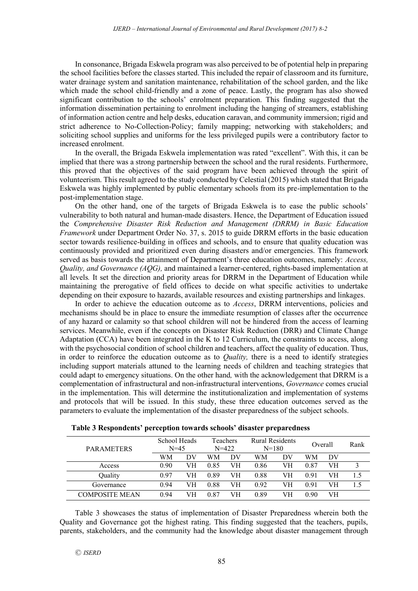In consonance, Brigada Eskwela program was also perceived to be of potential help in preparing the school facilities before the classes started. This included the repair of classroom and its furniture, water drainage system and sanitation maintenance, rehabilitation of the school garden, and the like which made the school child-friendly and a zone of peace. Lastly, the program has also showed significant contribution to the schools' enrolment preparation. This finding suggested that the information dissemination pertaining to enrolment including the hanging of streamers, establishing of information action centre and help desks, education caravan, and community immersion; rigid and strict adherence to No-Collection-Policy; family mapping; networking with stakeholders; and soliciting school supplies and uniforms for the less privileged pupils were a contributory factor to increased enrolment.

In the overall, the Brigada Eskwela implementation was rated "excellent". With this, it can be implied that there was a strong partnership between the school and the rural residents. Furthermore, this proved that the objectives of the said program have been achieved through the spirit of volunteerism. This result agreed to the study conducted by Celestial (2015) which stated that Brigada Eskwela was highly implemented by public elementary schools from its pre-implementation to the post-implementation stage.

On the other hand, one of the targets of Brigada Eskwela is to ease the public schools' vulnerability to both natural and human-made disasters. Hence, the Department of Education issued the *Comprehensive Disaster Risk Reduction and Management (DRRM) in Basic Education Framework* under Department Order No. 37, s. 2015 to guide DRRM efforts in the basic education sector towards resilience-building in offices and schools, and to ensure that quality education was continuously provided and prioritized even during disasters and/or emergencies. This framework served as basis towards the attainment of Department's three education outcomes, namely: *Access, Quality, and Governance (AQG),* and maintained a learner-centered, rights-based implementation at all levels*.* It set the direction and priority areas for DRRM in the Department of Education while maintaining the prerogative of field offices to decide on what specific activities to undertake depending on their exposure to hazards, available resources and existing partnerships and linkages.

In order to achieve the education outcome as to *Access*, DRRM interventions, policies and mechanisms should be in place to ensure the immediate resumption of classes after the occurrence of any hazard or calamity so that school children will not be hindered from the access of learning services. Meanwhile, even if the concepts on Disaster Risk Reduction (DRR) and Climate Change Adaptation (CCA) have been integrated in the K to 12 Curriculum, the constraints to access, along with the psychosocial condition of school children and teachers, affect the quality of education. Thus, in order to reinforce the education outcome as to *Quality,* there is a need to identify strategies including support materials attuned to the learning needs of children and teaching strategies that could adapt to emergency situations. On the other hand*,* with the acknowledgement that DRRM is a complementation of infrastructural and non-infrastructural interventions, *Governance* comes crucial in the implementation. This will determine the institutionalization and implementation of systems and protocols that will be issued. In this study, these three education outcomes served as the parameters to evaluate the implementation of the disaster preparedness of the subject schools.

| <b>PARAMETERS</b>     | School Heads<br>$N = 45$ |    | $N = 422$ | Teachers | <b>Rural Residents</b><br>$N = 180$ |    | Overall |    | Rank |
|-----------------------|--------------------------|----|-----------|----------|-------------------------------------|----|---------|----|------|
|                       | WМ                       | DV | WМ        | DV       | WМ                                  | DV | WМ      | DV |      |
| Access                | 0.90                     | VH | 0.85      | VH       | 0.86                                | VH | 0.87    | VH |      |
| Quality               | 0.97                     | VH | 0.89      | VH       | 0.88                                | VH | 0.91    | VH | 1.5  |
| Governance            | 0.94                     | VH | 0.88      | VH       | 0.92                                | VH | 0.91    | VH |      |
| <b>COMPOSITE MEAN</b> | 0.94                     | VH | 0.87      | VH       | 0.89                                | VH | 0.90    | VH |      |

| Table 3 Respondents' perception towards schools' disaster preparedness |
|------------------------------------------------------------------------|
|------------------------------------------------------------------------|

Table 3 showcases the status of implementation of Disaster Preparedness wherein both the Quality and Governance got the highest rating. This finding suggested that the teachers, pupils, parents, stakeholders, and the community had the knowledge about disaster management through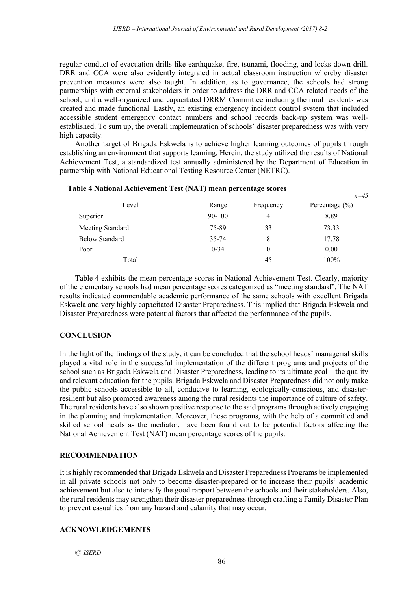regular conduct of evacuation drills like earthquake, fire, tsunami, flooding, and locks down drill. DRR and CCA were also evidently integrated in actual classroom instruction whereby disaster prevention measures were also taught. In addition, as to governance, the schools had strong partnerships with external stakeholders in order to address the DRR and CCA related needs of the school; and a well-organized and capacitated DRRM Committee including the rural residents was created and made functional. Lastly, an existing emergency incident control system that included accessible student emergency contact numbers and school records back-up system was wellestablished. To sum up, the overall implementation of schools' disaster preparedness was with very high capacity.

Another target of Brigada Eskwela is to achieve higher learning outcomes of pupils through establishing an environment that supports learning. Herein, the study utilized the results of National Achievement Test, a standardized test annually administered by the Department of Education in partnership with National Educational Testing Resource Center (NETRC).

|                       | $\overline{\phantom{a}}$ | ີ         | $n = 45$           |
|-----------------------|--------------------------|-----------|--------------------|
| Level                 | Range                    | Frequency | Percentage $(\% )$ |
| Superior              | 90-100                   | 4         | 8.89               |
| Meeting Standard      | 75-89                    | 33        | 73.33              |
| <b>Below Standard</b> | 35-74                    | 8         | 17.78              |
| Poor                  | $0 - 34$                 | 0         | 0.00               |
| Total                 |                          | 45        | 100%               |

#### **Table 4 National Achievement Test (NAT) mean percentage scores**

Table 4 exhibits the mean percentage scores in National Achievement Test. Clearly, majority of the elementary schools had mean percentage scores categorized as "meeting standard". The NAT results indicated commendable academic performance of the same schools with excellent Brigada Eskwela and very highly capacitated Disaster Preparedness. This implied that Brigada Eskwela and Disaster Preparedness were potential factors that affected the performance of the pupils.

## **CONCLUSION**

In the light of the findings of the study, it can be concluded that the school heads' managerial skills played a vital role in the successful implementation of the different programs and projects of the school such as Brigada Eskwela and Disaster Preparedness, leading to its ultimate goal – the quality and relevant education for the pupils. Brigada Eskwela and Disaster Preparedness did not only make the public schools accessible to all, conducive to learning, ecologically-conscious, and disasterresilient but also promoted awareness among the rural residents the importance of culture of safety. The rural residents have also shown positive response to the said programs through actively engaging in the planning and implementation. Moreover, these programs, with the help of a committed and skilled school heads as the mediator, have been found out to be potential factors affecting the National Achievement Test (NAT) mean percentage scores of the pupils.

## **RECOMMENDATION**

It is highly recommended that Brigada Eskwela and Disaster Preparedness Programs be implemented in all private schools not only to become disaster-prepared or to increase their pupils' academic achievement but also to intensify the good rapport between the schools and their stakeholders. Also, the rural residents may strengthen their disaster preparedness through crafting a Family Disaster Plan to prevent casualties from any hazard and calamity that may occur.

## **ACKNOWLEDGEMENTS**

Ⓒ *ISERD*